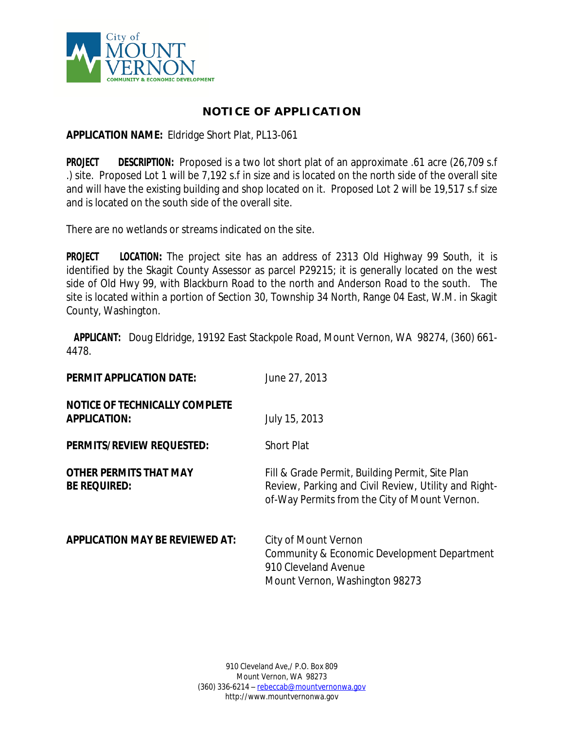

## **NOTICE OF APPLICATION**

## **APPLICATION NAME:** Eldridge Short Plat, PL13-061

**PROJECT DESCRIPTION:** Proposed is a two lot short plat of an approximate .61 acre (26,709 s.f .) site. Proposed Lot 1 will be 7,192 s.f in size and is located on the north side of the overall site and will have the existing building and shop located on it. Proposed Lot 2 will be 19,517 s.f size and is located on the south side of the overall site.

There are no wetlands or streams indicated on the site.

**PROJECT LOCATION:** The project site has an address of 2313 Old Highway 99 South, it is identified by the Skagit County Assessor as parcel P29215; it is generally located on the west side of Old Hwy 99, with Blackburn Road to the north and Anderson Road to the south. The site is located within a portion of Section 30, Township 34 North, Range 04 East, W.M. in Skagit County, Washington.

**APPLICANT:** Doug Eldridge, 19192 East Stackpole Road, Mount Vernon, WA 98274, (360) 661- 4478.

| <b>PERMIT APPLICATION DATE:</b>                              | June 27, 2013                                                                                                                                            |
|--------------------------------------------------------------|----------------------------------------------------------------------------------------------------------------------------------------------------------|
| <b>NOTICE OF TECHNICALLY COMPLETE</b><br><b>APPLICATION:</b> | July 15, 2013                                                                                                                                            |
| <b>PERMITS/REVIEW REQUESTED:</b>                             | <b>Short Plat</b>                                                                                                                                        |
| <b>OTHER PERMITS THAT MAY</b><br><b>BE REQUIRED:</b>         | Fill & Grade Permit, Building Permit, Site Plan<br>Review, Parking and Civil Review, Utility and Right-<br>of-Way Permits from the City of Mount Vernon. |
| <b>APPLICATION MAY BE REVIEWED AT:</b>                       | City of Mount Vernon<br>Community & Economic Development Department<br>910 Cleveland Avenue<br>Mount Vernon, Washington 98273                            |